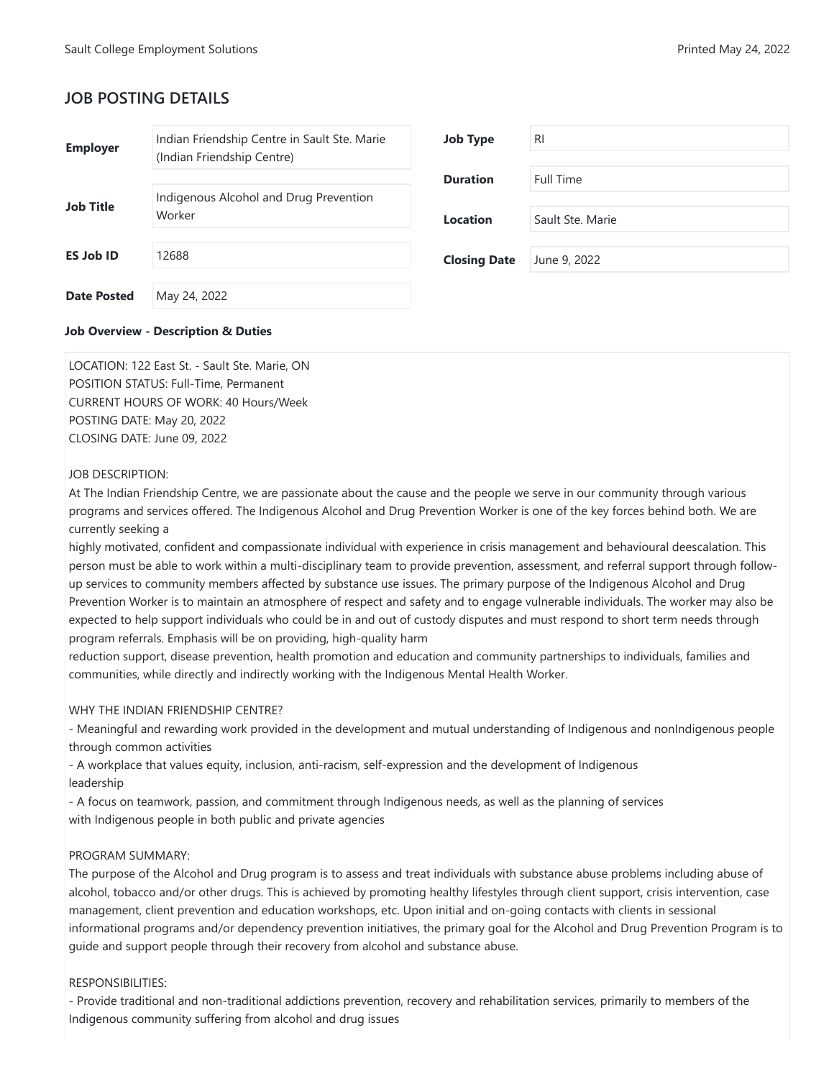# **JOB POSTING DETAILS**

## **Job Overview - Description & Duties**

LOCATION: 122 East St. - Sault Ste. Marie, ON POSITION STATUS: Full-Time, Permanent CURRENT HOURS OF WORK: 40 Hours/Week POSTING DATE: May 20, 2022 CLOSING DATE: June 09, 2022

# JOB DESCRIPTION:

At The Indian Friendship Centre, we are passionate about the cause and the people we serve in our community through various programs and services offered. The Indigenous Alcohol and Drug Prevention Worker is one of the key forces behind both. We are currently seeking a

highly motivated, confident and compassionate individual with experience in crisis management and behavioural deescalation. This person must be able to work within a multi-disciplinary team to provide prevention, assessment, and referral support through followup services to community members affected by substance use issues. The primary purpose of the Indigenous Alcohol and Drug Prevention Worker is to maintain an atmosphere of respect and safety and to engage vulnerable individuals. The worker may also be expected to help support individuals who could be in and out of custody disputes and must respond to short term needs through program referrals. Emphasis will be on providing, high-quality harm

reduction support, disease prevention, health promotion and education and community partnerships to individuals, families and communities, while directly and indirectly working with the Indigenous Mental Health Worker.

# WHY THE INDIAN FRIENDSHIP CENTRE?

- Meaningful and rewarding work provided in the development and mutual understanding of Indigenous and nonIndigenous people through common activities

- A workplace that values equity, inclusion, anti-racism, self-expression and the development of Indigenous leadership

- A focus on teamwork, passion, and commitment through Indigenous needs, as well as the planning of services with Indigenous people in both public and private agencies

# PROGRAM SUMMARY:

The purpose of the Alcohol and Drug program is to assess and treat individuals with substance abuse problems including abuse of alcohol, tobacco and/or other drugs. This is achieved by promoting healthy lifestyles through client support, crisis intervention, case management, client prevention and education workshops, etc. Upon initial and on-going contacts with clients in sessional informational programs and/or dependency prevention initiatives, the primary goal for the Alcohol and Drug Prevention Program is to guide and support people through their recovery from alcohol and substance abuse.

# RESPONSIBILITIES:

- Provide traditional and non-traditional addictions prevention, recovery and rehabilitation services, primarily to members of the Indigenous community suffering from alcohol and drug issues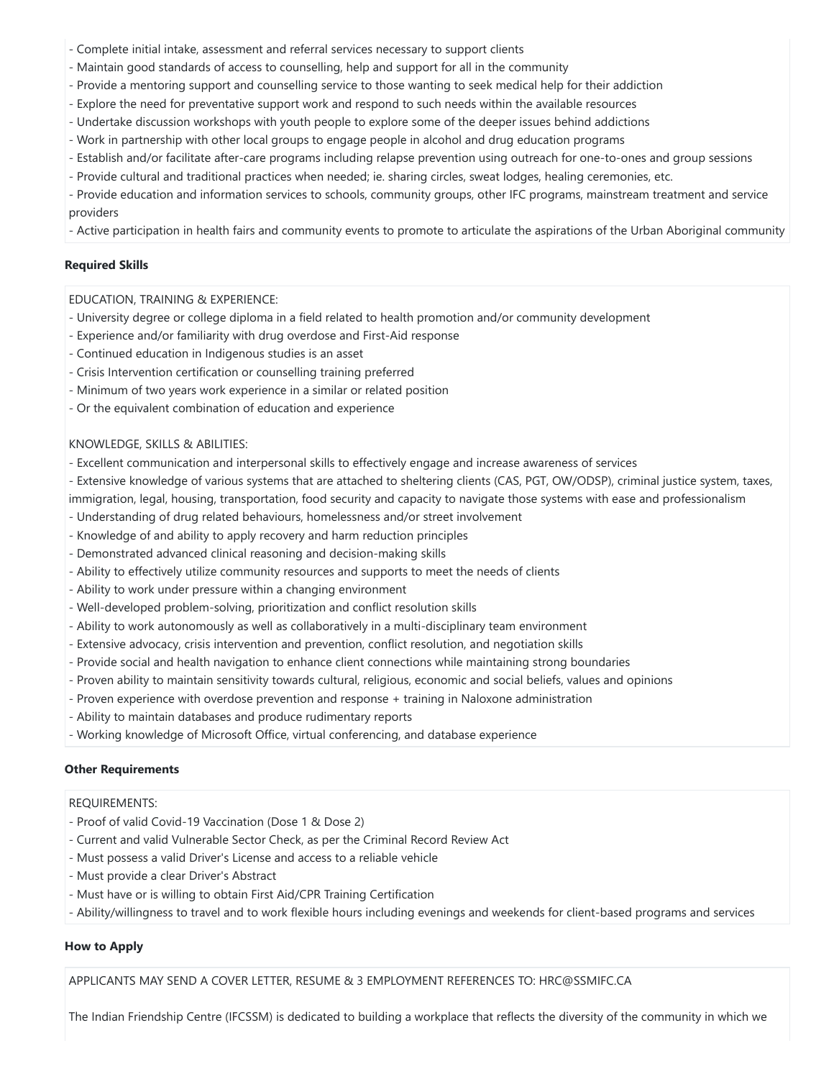- Complete initial intake, assessment and referral services necessary to support clients
- Maintain good standards of access to counselling, help and support for all in the community
- Provide a mentoring support and counselling service to those wanting to seek medical help for their addiction
- Explore the need for preventative support work and respond to such needs within the available resources
- Undertake discussion workshops with youth people to explore some of the deeper issues behind addictions
- Work in partnership with other local groups to engage people in alcohol and drug education programs
- Establish and/or facilitate after-care programs including relapse prevention using outreach for one-to-ones and group sessions
- Provide cultural and traditional practices when needed; ie. sharing circles, sweat lodges, healing ceremonies, etc.

- Provide education and information services to schools, community groups, other IFC programs, mainstream treatment and service providers

- Active participation in health fairs and community events to promote to articulate the aspirations of the Urban Aboriginal community

## **Required Skills**

## EDUCATION, TRAINING & EXPERIENCE:

- University degree or college diploma in a field related to health promotion and/or community development
- Experience and/or familiarity with drug overdose and First-Aid response
- Continued education in Indigenous studies is an asset
- Crisis Intervention certification or counselling training preferred
- Minimum of two years work experience in a similar or related position
- Or the equivalent combination of education and experience

### KNOWLEDGE, SKILLS & ABILITIES:

- Excellent communication and interpersonal skills to effectively engage and increase awareness of services
- Extensive knowledge of various systems that are attached to sheltering clients (CAS, PGT, OW/ODSP), criminal justice system, taxes, immigration, legal, housing, transportation, food security and capacity to navigate those systems with ease and professionalism
- Understanding of drug related behaviours, homelessness and/or street involvement
- Knowledge of and ability to apply recovery and harm reduction principles
- Demonstrated advanced clinical reasoning and decision-making skills
- Ability to effectively utilize community resources and supports to meet the needs of clients
- Ability to work under pressure within a changing environment
- Well-developed problem-solving, prioritization and conflict resolution skills
- Ability to work autonomously as well as collaboratively in a multi-disciplinary team environment
- Extensive advocacy, crisis intervention and prevention, conflict resolution, and negotiation skills
- Provide social and health navigation to enhance client connections while maintaining strong boundaries
- Proven ability to maintain sensitivity towards cultural, religious, economic and social beliefs, values and opinions
- Proven experience with overdose prevention and response + training in Naloxone administration
- Ability to maintain databases and produce rudimentary reports
- Working knowledge of Microsoft Office, virtual conferencing, and database experience

### **Other Requirements**

# REQUIREMENTS:

- Proof of valid Covid-19 Vaccination (Dose 1 & Dose 2)
- Current and valid Vulnerable Sector Check, as per the Criminal Record Review Act
- Must possess a valid Driver's License and access to a reliable vehicle
- Must provide a clear Driver's Abstract
- Must have or is willing to obtain First Aid/CPR Training Certification
- Ability/willingness to travel and to work flexible hours including evenings and weekends for client-based programs and services

# **How to Apply**

APPLICANTS MAY SEND A COVER LETTER, RESUME & 3 EMPLOYMENT REFERENCES TO: HRC@SSMIFC.CA

The Indian Friendship Centre (IFCSSM) is dedicated to building a workplace that reflects the diversity of the community in which we